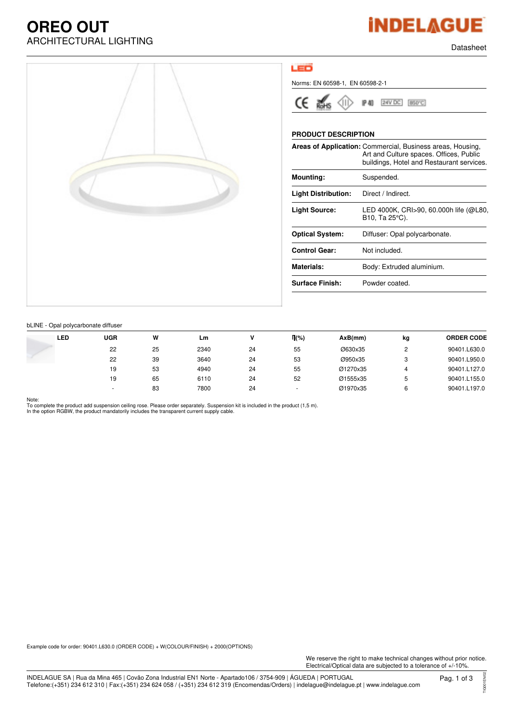## **OREO OUT** ARCHITECTURAL LIGHTING **External and the contract of the contract of the contract of the contract of the contract of the contract of the contract of the contract of the contract of the contract of the contract of the contr**





### LED

Norms: EN 60598-1, EN 60598-2-1



P 40 24V DC 850°C

### **PRODUCT DESCRIPTION**

|                            | Areas of Application: Commercial, Business areas, Housing,<br>Art and Culture spaces. Offices, Public<br>buildings, Hotel and Restaurant services. |
|----------------------------|----------------------------------------------------------------------------------------------------------------------------------------------------|
| Mounting:                  | Suspended.                                                                                                                                         |
| <b>Light Distribution:</b> | Direct / Indirect.                                                                                                                                 |
| Light Source:              | LED 4000K, CRI>90, 60.000h life (@L80,<br>B10, Ta 25°C).                                                                                           |
| <b>Optical System:</b>     | Diffuser: Opal polycarbonate.                                                                                                                      |
| <b>Control Gear:</b>       | Not included.                                                                                                                                      |
| <b>Materials:</b>          | Body: Extruded aluminium.                                                                                                                          |
| <b>Surface Finish:</b>     | Powder coated.                                                                                                                                     |
|                            |                                                                                                                                                    |

#### bLINE - Opal polycarbonate diffuser

| LED | UGR                      | W  | Lm   |    | $\P(\% )$ | AxB(mm)  | kg     | <b>ORDER CODE</b> |
|-----|--------------------------|----|------|----|-----------|----------|--------|-------------------|
|     | 22                       | 25 | 2340 | 24 | 55        | Ø630x35  | C<br>_ | 90401.L630.0      |
|     | 22                       | 39 | 3640 | 24 | 53        | Ø950x35  | 3      | 90401.L950.0      |
|     | 19                       | 53 | 4940 | 24 | 55        | Ø1270x35 |        | 90401.L127.0      |
|     | 19                       | 65 | 6110 | 24 | 52        | Ø1555x35 | 5      | 90401.L155.0      |
|     | $\overline{\phantom{a}}$ | 83 | 7800 | 24 |           | Ø1970x35 | 6      | 90401.L197.0      |

#### Note:

To complete the product add suspension ceiling rose. Please order separately. Suspension kit is included in the product (1,5 m). In the option RGBW, the product mandatorily includes the transparent current supply cable.

Example code for order: 90401.L630.0 (ORDER CODE) + W(COLOUR/FINISH) + 2000(OPTIONS)

We reserve the right to make technical changes without prior notice. Electrical/Optical data are subjected to a tolerance of +/-10%.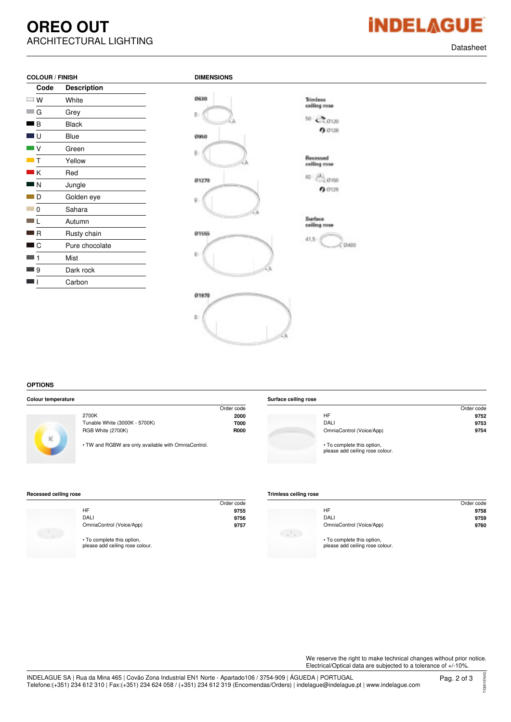## **OREO OUT** ARCHITECTURAL LIGHTING **External and the contract of the contract of the contract of the contract of the contract of the contract of the contract of the contract of the contract of the contract of the contract of the contr**

|  | <b>iNDELAGUI</b> |  |
|--|------------------|--|
|  |                  |  |

| Code | <b>Description</b> |
|------|--------------------|
| W    | White              |
| G    | Grey               |
| B    | Black              |
| 3 U  | Blue               |
| V    | Green              |
| т    | Yellow             |
| ΙK   | Red                |
| N    | Jungle             |
| D    | Golden eye         |
| 0    | Sahara             |
|      | Autumn             |
| l R  | Rusty chain        |
| C    | Pure chocolate     |
| 1    | Mist               |
| 9 –  | Dark rock          |
|      | Carbon             |



#### **OPTIONS**

|  | <b>Colour temperature</b> |
|--|---------------------------|
|--|---------------------------|

| plour temperature |                                                     |             | Surface ceiling rose |                                                               |            |
|-------------------|-----------------------------------------------------|-------------|----------------------|---------------------------------------------------------------|------------|
|                   |                                                     | Order code  |                      |                                                               | Order code |
|                   | 2700K                                               | 2000        |                      | <b>HF</b>                                                     | 9752       |
|                   | Tunable White (3000K - 5700K)                       | <b>T000</b> |                      | <b>DALI</b>                                                   | 9753       |
|                   | RGB White (2700K)                                   | <b>R000</b> |                      | OmniaControl (Voice/App)                                      | 9754       |
| ĸ                 | • TW and RGBW are only available with OmniaControl. |             |                      | • To complete this option,<br>please add ceiling rose colour. |            |

#### **Recessed ceiling rose**

|                                                               | Order code |
|---------------------------------------------------------------|------------|
| HF                                                            | 9755       |
| DALI                                                          | 9756       |
| OmniaControl (Voice/App)                                      | 9757       |
| • To complete this option,<br>please add ceiling rose colour. |            |

| <b>Trimless ceiling rose</b> |  |  |
|------------------------------|--|--|
|------------------------------|--|--|

|                                                               | Order code |
|---------------------------------------------------------------|------------|
| HF                                                            | 9758       |
| DALI                                                          | 9759       |
| OmniaControl (Voice/App)                                      | 9760       |
|                                                               |            |
| • To complete this option,<br>please add ceiling rose colour. |            |

We reserve the right to make technical changes without prior notice. Electrical/Optical data are subjected to a tolerance of +/-10%.

TIG001EN/02

TIG001EN/02